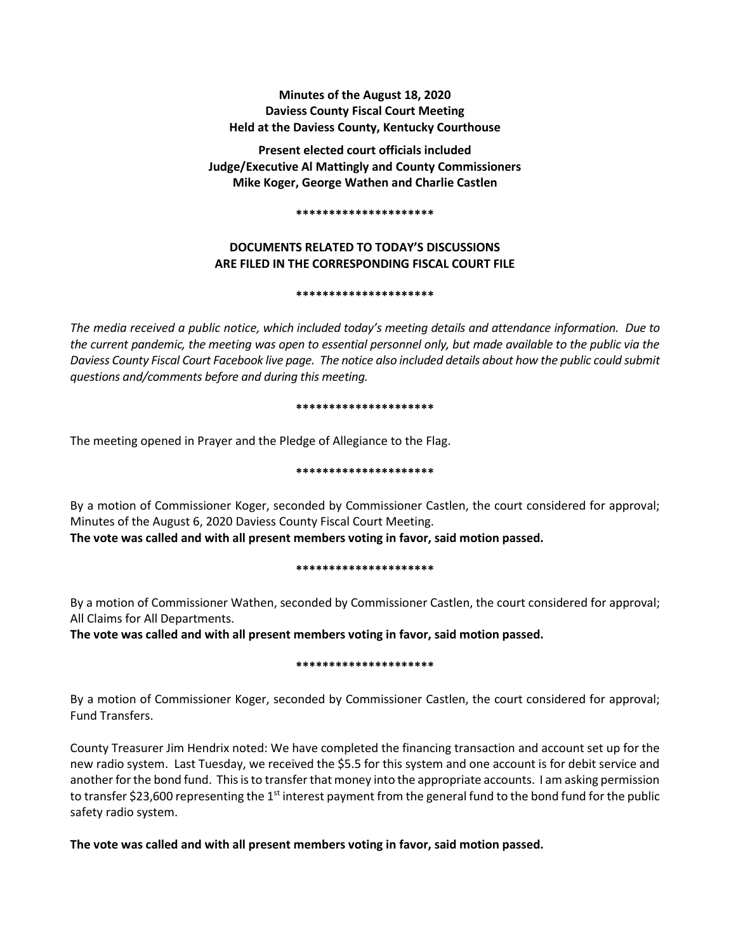## **Minutes of the August 18, 2020 Daviess County Fiscal Court Meeting Held at the Daviess County, Kentucky Courthouse**

**Present elected court officials included Judge/Executive Al Mattingly and County Commissioners Mike Koger, George Wathen and Charlie Castlen**

#### **\*\*\*\*\*\*\*\*\*\*\*\*\*\*\*\*\*\*\*\*\***

# **DOCUMENTS RELATED TO TODAY'S DISCUSSIONS ARE FILED IN THE CORRESPONDING FISCAL COURT FILE**

### **\*\*\*\*\*\*\*\*\*\*\*\*\*\*\*\*\*\*\*\*\***

*The media received a public notice, which included today's meeting details and attendance information. Due to the current pandemic, the meeting was open to essential personnel only, but made available to the public via the Daviess County Fiscal Court Facebook live page. The notice also included details about how the public could submit questions and/comments before and during this meeting.* 

#### **\*\*\*\*\*\*\*\*\*\*\*\*\*\*\*\*\*\*\*\*\***

The meeting opened in Prayer and the Pledge of Allegiance to the Flag.

### **\*\*\*\*\*\*\*\*\*\*\*\*\*\*\*\*\*\*\*\*\***

By a motion of Commissioner Koger, seconded by Commissioner Castlen, the court considered for approval; Minutes of the August 6, 2020 Daviess County Fiscal Court Meeting. **The vote was called and with all present members voting in favor, said motion passed.** 

### **\*\*\*\*\*\*\*\*\*\*\*\*\*\*\*\*\*\*\*\*\***

By a motion of Commissioner Wathen, seconded by Commissioner Castlen, the court considered for approval; All Claims for All Departments.

**The vote was called and with all present members voting in favor, said motion passed.** 

# **\*\*\*\*\*\*\*\*\*\*\*\*\*\*\*\*\*\*\*\*\***

By a motion of Commissioner Koger, seconded by Commissioner Castlen, the court considered for approval; Fund Transfers.

County Treasurer Jim Hendrix noted: We have completed the financing transaction and account set up for the new radio system. Last Tuesday, we received the \$5.5 for this system and one account is for debit service and another for the bond fund. This is to transfer that money into the appropriate accounts. I am asking permission to transfer \$23,600 representing the 1<sup>st</sup> interest payment from the general fund to the bond fund for the public safety radio system.

**The vote was called and with all present members voting in favor, said motion passed.**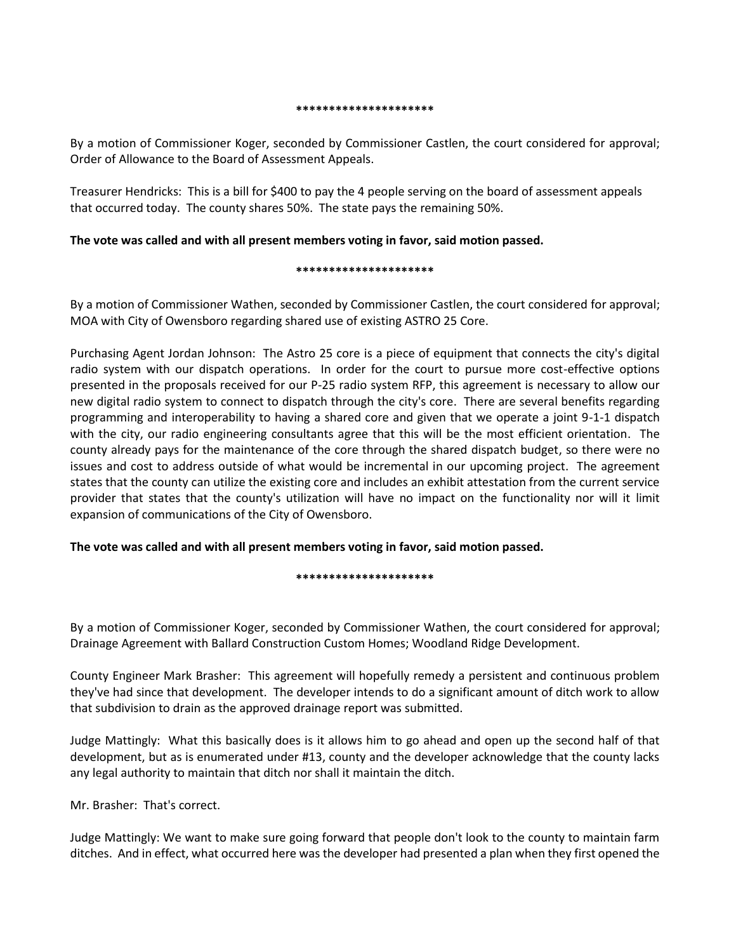#### **\*\*\*\*\*\*\*\*\*\*\*\*\*\*\*\*\*\*\*\*\***

By a motion of Commissioner Koger, seconded by Commissioner Castlen, the court considered for approval; Order of Allowance to the Board of Assessment Appeals.

Treasurer Hendricks: This is a bill for \$400 to pay the 4 people serving on the board of assessment appeals that occurred today. The county shares 50%. The state pays the remaining 50%.

### **The vote was called and with all present members voting in favor, said motion passed.**

#### **\*\*\*\*\*\*\*\*\*\*\*\*\*\*\*\*\*\*\*\*\***

By a motion of Commissioner Wathen, seconded by Commissioner Castlen, the court considered for approval; MOA with City of Owensboro regarding shared use of existing ASTRO 25 Core.

Purchasing Agent Jordan Johnson: The Astro 25 core is a piece of equipment that connects the city's digital radio system with our dispatch operations. In order for the court to pursue more cost-effective options presented in the proposals received for our P-25 radio system RFP, this agreement is necessary to allow our new digital radio system to connect to dispatch through the city's core. There are several benefits regarding programming and interoperability to having a shared core and given that we operate a joint 9-1-1 dispatch with the city, our radio engineering consultants agree that this will be the most efficient orientation. The county already pays for the maintenance of the core through the shared dispatch budget, so there were no issues and cost to address outside of what would be incremental in our upcoming project. The agreement states that the county can utilize the existing core and includes an exhibit attestation from the current service provider that states that the county's utilization will have no impact on the functionality nor will it limit expansion of communications of the City of Owensboro.

### **The vote was called and with all present members voting in favor, said motion passed.**

**\*\*\*\*\*\*\*\*\*\*\*\*\*\*\*\*\*\*\*\*\***

By a motion of Commissioner Koger, seconded by Commissioner Wathen, the court considered for approval; Drainage Agreement with Ballard Construction Custom Homes; Woodland Ridge Development.

County Engineer Mark Brasher: This agreement will hopefully remedy a persistent and continuous problem they've had since that development. The developer intends to do a significant amount of ditch work to allow that subdivision to drain as the approved drainage report was submitted.

Judge Mattingly: What this basically does is it allows him to go ahead and open up the second half of that development, but as is enumerated under #13, county and the developer acknowledge that the county lacks any legal authority to maintain that ditch nor shall it maintain the ditch.

Mr. Brasher: That's correct.

Judge Mattingly: We want to make sure going forward that people don't look to the county to maintain farm ditches. And in effect, what occurred here was the developer had presented a plan when they first opened the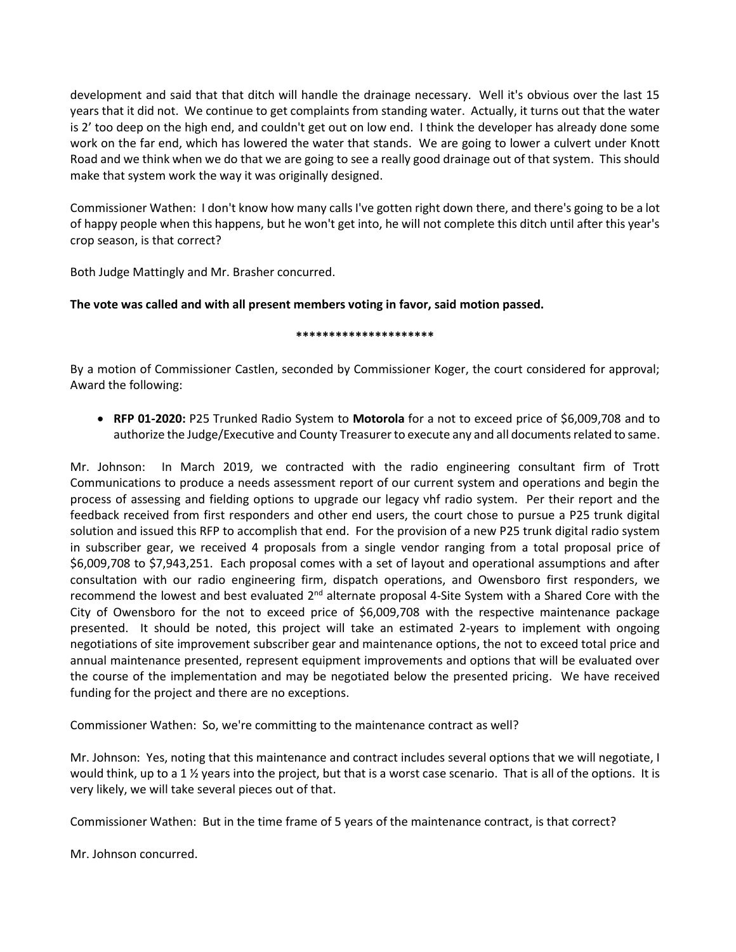development and said that that ditch will handle the drainage necessary. Well it's obvious over the last 15 years that it did not. We continue to get complaints from standing water. Actually, it turns out that the water is 2' too deep on the high end, and couldn't get out on low end. I think the developer has already done some work on the far end, which has lowered the water that stands. We are going to lower a culvert under Knott Road and we think when we do that we are going to see a really good drainage out of that system. This should make that system work the way it was originally designed.

Commissioner Wathen: I don't know how many calls I've gotten right down there, and there's going to be a lot of happy people when this happens, but he won't get into, he will not complete this ditch until after this year's crop season, is that correct?

Both Judge Mattingly and Mr. Brasher concurred.

# **The vote was called and with all present members voting in favor, said motion passed.**

### **\*\*\*\*\*\*\*\*\*\*\*\*\*\*\*\*\*\*\*\*\***

By a motion of Commissioner Castlen, seconded by Commissioner Koger, the court considered for approval; Award the following:

• **RFP 01-2020:** P25 Trunked Radio System to **Motorola** for a not to exceed price of \$6,009,708 and to authorize the Judge/Executive and County Treasurer to execute any and all documents related to same.

Mr. Johnson: In March 2019, we contracted with the radio engineering consultant firm of Trott Communications to produce a needs assessment report of our current system and operations and begin the process of assessing and fielding options to upgrade our legacy vhf radio system. Per their report and the feedback received from first responders and other end users, the court chose to pursue a P25 trunk digital solution and issued this RFP to accomplish that end. For the provision of a new P25 trunk digital radio system in subscriber gear, we received 4 proposals from a single vendor ranging from a total proposal price of \$6,009,708 to \$7,943,251. Each proposal comes with a set of layout and operational assumptions and after consultation with our radio engineering firm, dispatch operations, and Owensboro first responders, we recommend the lowest and best evaluated 2<sup>nd</sup> alternate proposal 4-Site System with a Shared Core with the City of Owensboro for the not to exceed price of \$6,009,708 with the respective maintenance package presented. It should be noted, this project will take an estimated 2-years to implement with ongoing negotiations of site improvement subscriber gear and maintenance options, the not to exceed total price and annual maintenance presented, represent equipment improvements and options that will be evaluated over the course of the implementation and may be negotiated below the presented pricing. We have received funding for the project and there are no exceptions.

Commissioner Wathen: So, we're committing to the maintenance contract as well?

Mr. Johnson: Yes, noting that this maintenance and contract includes several options that we will negotiate, I would think, up to a 1  $\frac{1}{2}$  years into the project, but that is a worst case scenario. That is all of the options. It is very likely, we will take several pieces out of that.

Commissioner Wathen: But in the time frame of 5 years of the maintenance contract, is that correct?

Mr. Johnson concurred.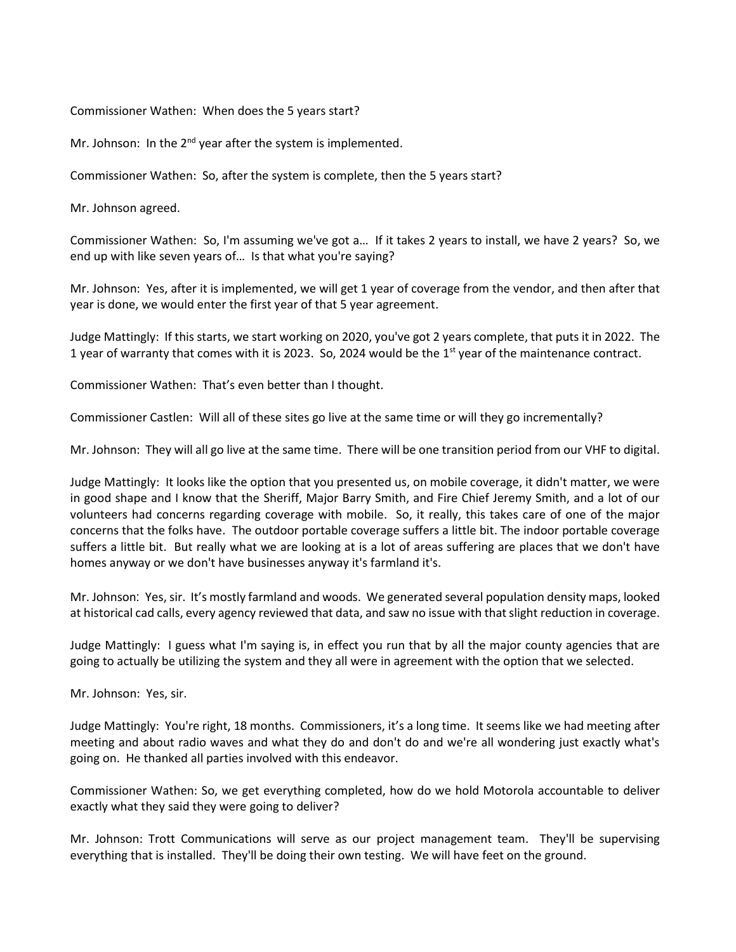Commissioner Wathen: When does the 5 years start?

Mr. Johnson: In the 2<sup>nd</sup> year after the system is implemented.

Commissioner Wathen: So, after the system is complete, then the 5 years start?

Mr. Johnson agreed.

Commissioner Wathen: So, I'm assuming we've got a… If it takes 2 years to install, we have 2 years? So, we end up with like seven years of… Is that what you're saying?

Mr. Johnson: Yes, after it is implemented, we will get 1 year of coverage from the vendor, and then after that year is done, we would enter the first year of that 5 year agreement.

Judge Mattingly: If this starts, we start working on 2020, you've got 2 years complete, that puts it in 2022. The 1 year of warranty that comes with it is 2023. So, 2024 would be the  $1<sup>st</sup>$  year of the maintenance contract.

Commissioner Wathen: That's even better than I thought.

Commissioner Castlen: Will all of these sites go live at the same time or will they go incrementally?

Mr. Johnson: They will all go live at the same time. There will be one transition period from our VHF to digital.

Judge Mattingly: It looks like the option that you presented us, on mobile coverage, it didn't matter, we were in good shape and I know that the Sheriff, Major Barry Smith, and Fire Chief Jeremy Smith, and a lot of our volunteers had concerns regarding coverage with mobile. So, it really, this takes care of one of the major concerns that the folks have. The outdoor portable coverage suffers a little bit. The indoor portable coverage suffers a little bit. But really what we are looking at is a lot of areas suffering are places that we don't have homes anyway or we don't have businesses anyway it's farmland it's.

Mr. Johnson: Yes, sir. It's mostly farmland and woods. We generated several population density maps, looked at historical cad calls, every agency reviewed that data, and saw no issue with that slight reduction in coverage.

Judge Mattingly: I guess what I'm saying is, in effect you run that by all the major county agencies that are going to actually be utilizing the system and they all were in agreement with the option that we selected.

Mr. Johnson: Yes, sir.

Judge Mattingly: You're right, 18 months. Commissioners, it's a long time. It seems like we had meeting after meeting and about radio waves and what they do and don't do and we're all wondering just exactly what's going on. He thanked all parties involved with this endeavor.

Commissioner Wathen: So, we get everything completed, how do we hold Motorola accountable to deliver exactly what they said they were going to deliver?

Mr. Johnson: Trott Communications will serve as our project management team. They'll be supervising everything that is installed. They'll be doing their own testing. We will have feet on the ground.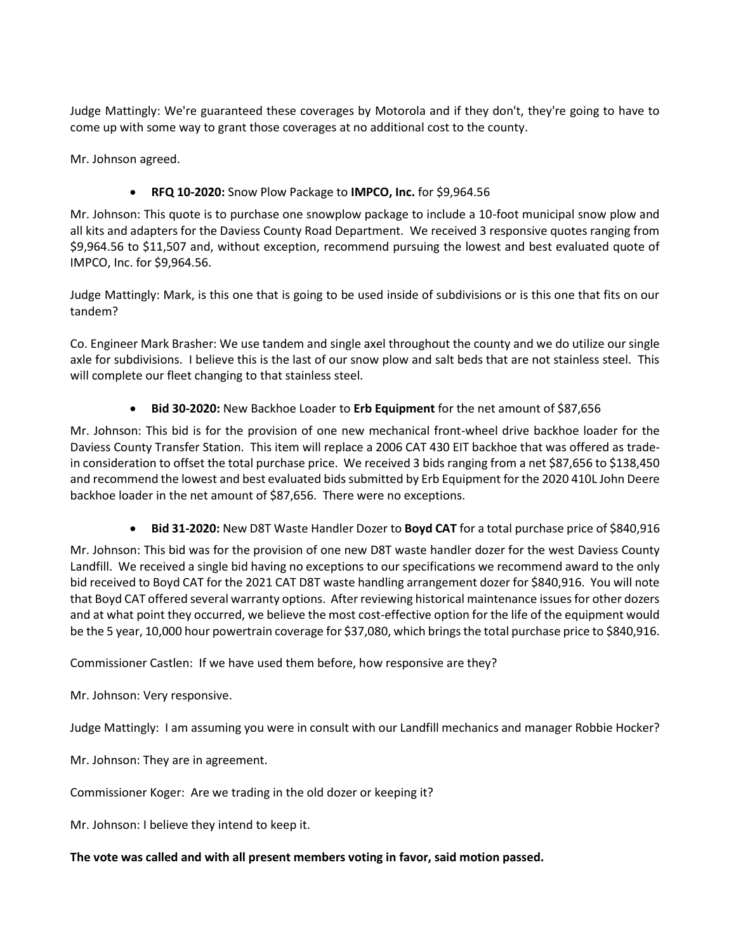Judge Mattingly: We're guaranteed these coverages by Motorola and if they don't, they're going to have to come up with some way to grant those coverages at no additional cost to the county.

Mr. Johnson agreed.

• **RFQ 10-2020:** Snow Plow Package to **IMPCO, Inc.** for \$9,964.56

Mr. Johnson: This quote is to purchase one snowplow package to include a 10-foot municipal snow plow and all kits and adapters for the Daviess County Road Department. We received 3 responsive quotes ranging from \$9,964.56 to \$11,507 and, without exception, recommend pursuing the lowest and best evaluated quote of IMPCO, Inc. for \$9,964.56.

Judge Mattingly: Mark, is this one that is going to be used inside of subdivisions or is this one that fits on our tandem?

Co. Engineer Mark Brasher: We use tandem and single axel throughout the county and we do utilize our single axle for subdivisions. I believe this is the last of our snow plow and salt beds that are not stainless steel. This will complete our fleet changing to that stainless steel.

• **Bid 30-2020:** New Backhoe Loader to **Erb Equipment** for the net amount of \$87,656

Mr. Johnson: This bid is for the provision of one new mechanical front-wheel drive backhoe loader for the Daviess County Transfer Station. This item will replace a 2006 CAT 430 EIT backhoe that was offered as tradein consideration to offset the total purchase price. We received 3 bids ranging from a net \$87,656 to \$138,450 and recommend the lowest and best evaluated bids submitted by Erb Equipment for the 2020 410L John Deere backhoe loader in the net amount of \$87,656. There were no exceptions.

• **Bid 31-2020:** New D8T Waste Handler Dozer to **Boyd CAT** for a total purchase price of \$840,916

Mr. Johnson: This bid was for the provision of one new D8T waste handler dozer for the west Daviess County Landfill. We received a single bid having no exceptions to our specifications we recommend award to the only bid received to Boyd CAT for the 2021 CAT D8T waste handling arrangement dozer for \$840,916. You will note that Boyd CAT offered several warranty options. After reviewing historical maintenance issues for other dozers and at what point they occurred, we believe the most cost-effective option for the life of the equipment would be the 5 year, 10,000 hour powertrain coverage for \$37,080, which brings the total purchase price to \$840,916.

Commissioner Castlen: If we have used them before, how responsive are they?

Mr. Johnson: Very responsive.

Judge Mattingly: I am assuming you were in consult with our Landfill mechanics and manager Robbie Hocker?

Mr. Johnson: They are in agreement.

Commissioner Koger: Are we trading in the old dozer or keeping it?

Mr. Johnson: I believe they intend to keep it.

## **The vote was called and with all present members voting in favor, said motion passed.**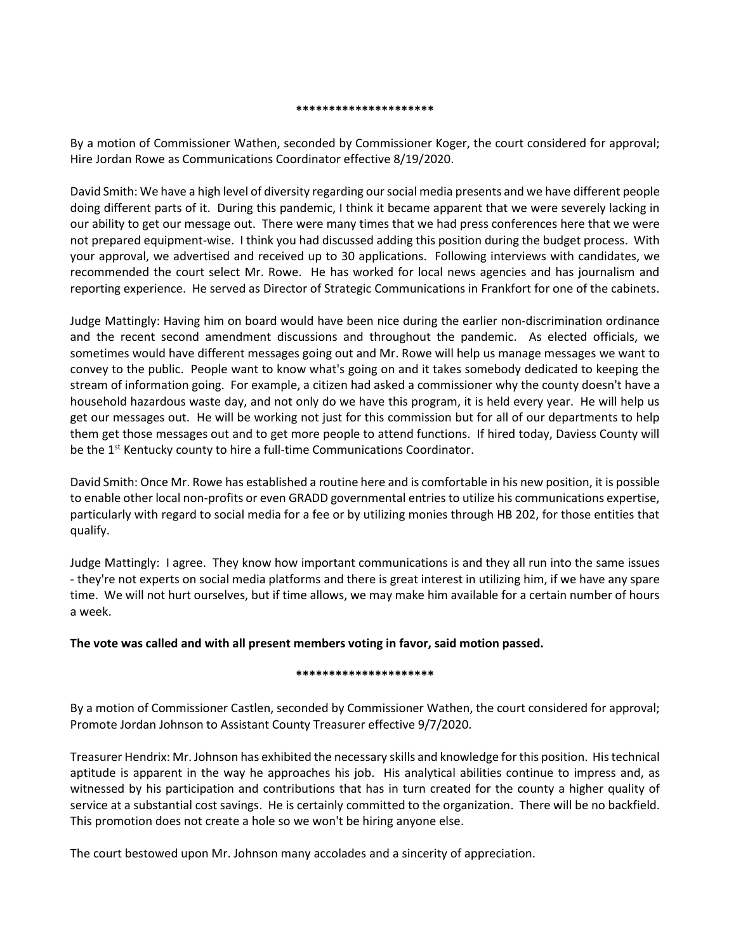#### **\*\*\*\*\*\*\*\*\*\*\*\*\*\*\*\*\*\*\*\*\***

By a motion of Commissioner Wathen, seconded by Commissioner Koger, the court considered for approval; Hire Jordan Rowe as Communications Coordinator effective 8/19/2020.

David Smith: We have a high level of diversity regarding our social media presents and we have different people doing different parts of it. During this pandemic, I think it became apparent that we were severely lacking in our ability to get our message out. There were many times that we had press conferences here that we were not prepared equipment-wise. I think you had discussed adding this position during the budget process. With your approval, we advertised and received up to 30 applications. Following interviews with candidates, we recommended the court select Mr. Rowe. He has worked for local news agencies and has journalism and reporting experience. He served as Director of Strategic Communications in Frankfort for one of the cabinets.

Judge Mattingly: Having him on board would have been nice during the earlier non-discrimination ordinance and the recent second amendment discussions and throughout the pandemic. As elected officials, we sometimes would have different messages going out and Mr. Rowe will help us manage messages we want to convey to the public. People want to know what's going on and it takes somebody dedicated to keeping the stream of information going. For example, a citizen had asked a commissioner why the county doesn't have a household hazardous waste day, and not only do we have this program, it is held every year. He will help us get our messages out. He will be working not just for this commission but for all of our departments to help them get those messages out and to get more people to attend functions. If hired today, Daviess County will be the 1<sup>st</sup> Kentucky county to hire a full-time Communications Coordinator.

David Smith: Once Mr. Rowe has established a routine here and is comfortable in his new position, it is possible to enable other local non-profits or even GRADD governmental entries to utilize his communications expertise, particularly with regard to social media for a fee or by utilizing monies through HB 202, for those entities that qualify.

Judge Mattingly: I agree. They know how important communications is and they all run into the same issues - they're not experts on social media platforms and there is great interest in utilizing him, if we have any spare time. We will not hurt ourselves, but if time allows, we may make him available for a certain number of hours a week.

### **The vote was called and with all present members voting in favor, said motion passed.**

### **\*\*\*\*\*\*\*\*\*\*\*\*\*\*\*\*\*\*\*\*\***

By a motion of Commissioner Castlen, seconded by Commissioner Wathen, the court considered for approval; Promote Jordan Johnson to Assistant County Treasurer effective 9/7/2020.

Treasurer Hendrix: Mr. Johnson has exhibited the necessary skills and knowledge for this position. His technical aptitude is apparent in the way he approaches his job. His analytical abilities continue to impress and, as witnessed by his participation and contributions that has in turn created for the county a higher quality of service at a substantial cost savings. He is certainly committed to the organization. There will be no backfield. This promotion does not create a hole so we won't be hiring anyone else.

The court bestowed upon Mr. Johnson many accolades and a sincerity of appreciation.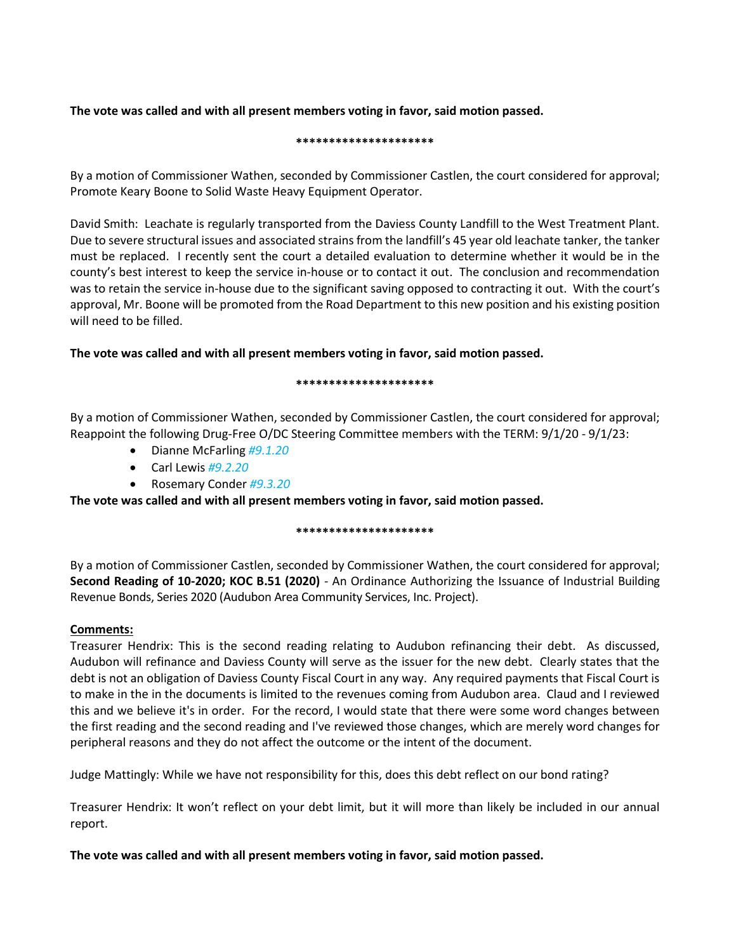## **The vote was called and with all present members voting in favor, said motion passed.**

#### **\*\*\*\*\*\*\*\*\*\*\*\*\*\*\*\*\*\*\*\*\***

By a motion of Commissioner Wathen, seconded by Commissioner Castlen, the court considered for approval; Promote Keary Boone to Solid Waste Heavy Equipment Operator.

David Smith: Leachate is regularly transported from the Daviess County Landfill to the West Treatment Plant. Due to severe structural issues and associated strains from the landfill's 45 year old leachate tanker, the tanker must be replaced. I recently sent the court a detailed evaluation to determine whether it would be in the county's best interest to keep the service in-house or to contact it out. The conclusion and recommendation was to retain the service in-house due to the significant saving opposed to contracting it out. With the court's approval, Mr. Boone will be promoted from the Road Department to this new position and his existing position will need to be filled.

## **The vote was called and with all present members voting in favor, said motion passed.**

### **\*\*\*\*\*\*\*\*\*\*\*\*\*\*\*\*\*\*\*\*\***

By a motion of Commissioner Wathen, seconded by Commissioner Castlen, the court considered for approval; Reappoint the following Drug-Free O/DC Steering Committee members with the TERM: 9/1/20 - 9/1/23:

- Dianne McFarling *#9.1.20*
- Carl Lewis *#9.2.20*
- Rosemary Conder *#9.3.20*

**The vote was called and with all present members voting in favor, said motion passed.**

## **\*\*\*\*\*\*\*\*\*\*\*\*\*\*\*\*\*\*\*\*\***

By a motion of Commissioner Castlen, seconded by Commissioner Wathen, the court considered for approval; **Second Reading of 10-2020; KOC B.51 (2020)** - An Ordinance Authorizing the Issuance of Industrial Building Revenue Bonds, Series 2020 (Audubon Area Community Services, Inc. Project).

## **Comments:**

Treasurer Hendrix: This is the second reading relating to Audubon refinancing their debt. As discussed, Audubon will refinance and Daviess County will serve as the issuer for the new debt. Clearly states that the debt is not an obligation of Daviess County Fiscal Court in any way. Any required payments that Fiscal Court is to make in the in the documents is limited to the revenues coming from Audubon area. Claud and I reviewed this and we believe it's in order. For the record, I would state that there were some word changes between the first reading and the second reading and I've reviewed those changes, which are merely word changes for peripheral reasons and they do not affect the outcome or the intent of the document.

Judge Mattingly: While we have not responsibility for this, does this debt reflect on our bond rating?

Treasurer Hendrix: It won't reflect on your debt limit, but it will more than likely be included in our annual report.

**The vote was called and with all present members voting in favor, said motion passed.**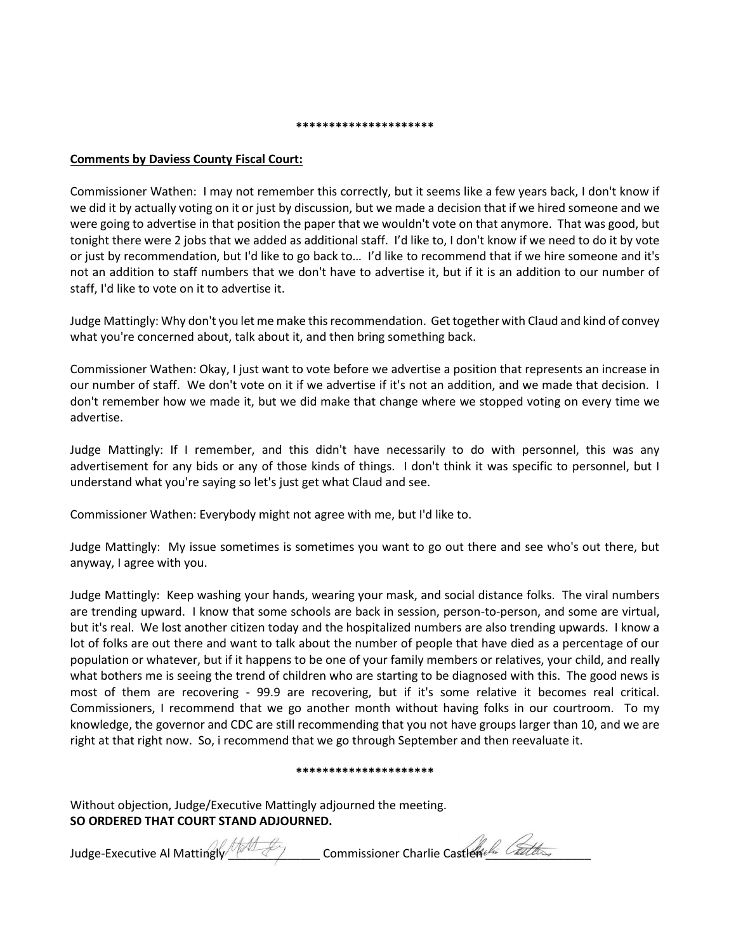#### **\*\*\*\*\*\*\*\*\*\*\*\*\*\*\*\*\*\*\*\*\***

### **Comments by Daviess County Fiscal Court:**

Commissioner Wathen: I may not remember this correctly, but it seems like a few years back, I don't know if we did it by actually voting on it or just by discussion, but we made a decision that if we hired someone and we were going to advertise in that position the paper that we wouldn't vote on that anymore. That was good, but tonight there were 2 jobs that we added as additional staff. I'd like to, I don't know if we need to do it by vote or just by recommendation, but I'd like to go back to… I'd like to recommend that if we hire someone and it's not an addition to staff numbers that we don't have to advertise it, but if it is an addition to our number of staff, I'd like to vote on it to advertise it.

Judge Mattingly: Why don't you let me make this recommendation. Get together with Claud and kind of convey what you're concerned about, talk about it, and then bring something back.

Commissioner Wathen: Okay, I just want to vote before we advertise a position that represents an increase in our number of staff. We don't vote on it if we advertise if it's not an addition, and we made that decision. I don't remember how we made it, but we did make that change where we stopped voting on every time we advertise.

Judge Mattingly: If I remember, and this didn't have necessarily to do with personnel, this was any advertisement for any bids or any of those kinds of things. I don't think it was specific to personnel, but I understand what you're saying so let's just get what Claud and see.

Commissioner Wathen: Everybody might not agree with me, but I'd like to.

Judge Mattingly: My issue sometimes is sometimes you want to go out there and see who's out there, but anyway, I agree with you.

Judge Mattingly: Keep washing your hands, wearing your mask, and social distance folks. The viral numbers are trending upward. I know that some schools are back in session, person-to-person, and some are virtual, but it's real. We lost another citizen today and the hospitalized numbers are also trending upwards. I know a lot of folks are out there and want to talk about the number of people that have died as a percentage of our population or whatever, but if it happens to be one of your family members or relatives, your child, and really what bothers me is seeing the trend of children who are starting to be diagnosed with this. The good news is most of them are recovering - 99.9 are recovering, but if it's some relative it becomes real critical. Commissioners, I recommend that we go another month without having folks in our courtroom. To my knowledge, the governor and CDC are still recommending that you not have groups larger than 10, and we are right at that right now. So, i recommend that we go through September and then reevaluate it.

#### **\*\*\*\*\*\*\*\*\*\*\*\*\*\*\*\*\*\*\*\*\***

Without objection, Judge/Executive Mattingly adjourned the meeting. **SO ORDERED THAT COURT STAND ADJOURNED.**

Judge-Executive Al Mattingly Manter Commissioner Charlie Castlen Latter